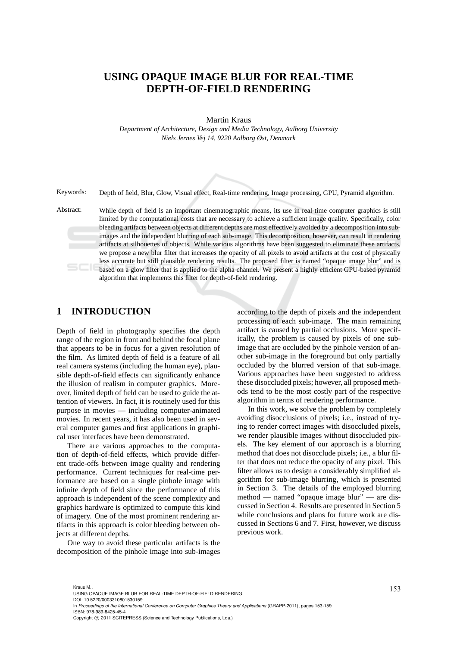## **USING OPAQUE IMAGE BLUR FOR REAL-TIME DEPTH-OF-FIELD RENDERING**

Martin Kraus

*Department of Architecture, Design and Media Technology, Aalborg University Niels Jernes Vej 14, 9220 Aalborg Øst, Denmark*

Keywords: Depth of field, Blur, Glow, Visual effect, Real-time rendering, Image processing, GPU, Pyramid algorithm.

Abstract: While depth of field is an important cinematographic means, its use in real-time computer graphics is still limited by the computational costs that are necessary to achieve a sufficient image quality. Specifically, color bleeding artifacts between objects at different depths are most effectively avoided by a decomposition into subimages and the independent blurring of each sub-image. This decomposition, however, can result in rendering artifacts at silhouettes of objects. While various algorithms have been suggested to eliminate these artifacts, we propose a new blur filter that increases the opacity of all pixels to avoid artifacts at the cost of physically less accurate but still plausible rendering results. The proposed filter is named "opaque image blur" and is based on a glow filter that is applied to the alpha channel. We present a highly efficient GPU-based pyramid algorithm that implements this filter for depth-of-field rendering.

## **1 INTRODUCTION**

Depth of field in photography specifies the depth range of the region in front and behind the focal plane that appears to be in focus for a given resolution of the film. As limited depth of field is a feature of all real camera systems (including the human eye), plausible depth-of-field effects can significantly enhance the illusion of realism in computer graphics. Moreover, limited depth of field can be used to guide the attention of viewers. In fact, it is routinely used for this purpose in movies — including computer-animated movies. In recent years, it has also been used in several computer games and first applications in graphical user interfaces have been demonstrated.

There are various approaches to the computation of depth-of-field effects, which provide different trade-offs between image quality and rendering performance. Current techniques for real-time performance are based on a single pinhole image with infinite depth of field since the performance of this approach is independent of the scene complexity and graphics hardware is optimized to compute this kind of imagery. One of the most prominent rendering artifacts in this approach is color bleeding between objects at different depths.

One way to avoid these particular artifacts is the decomposition of the pinhole image into sub-images

according to the depth of pixels and the independent processing of each sub-image. The main remaining artifact is caused by partial occlusions. More specifically, the problem is caused by pixels of one subimage that are occluded by the pinhole version of another sub-image in the foreground but only partially occluded by the blurred version of that sub-image. Various approaches have been suggested to address these disoccluded pixels; however, all proposed methods tend to be the most costly part of the respective algorithm in terms of rendering performance.

In this work, we solve the problem by completely avoiding disocclusions of pixels; i.e., instead of trying to render correct images with disoccluded pixels, we render plausible images without disoccluded pixels. The key element of our approach is a blurring method that does not disocclude pixels; i.e., a blur filter that does not reduce the opacity of any pixel. This filter allows us to design a considerably simplified algorithm for sub-image blurring, which is presented in Section 3. The details of the employed blurring method — named "opaque image blur" — are discussed in Section 4. Results are presented in Section 5 while conclusions and plans for future work are discussed in Sections 6 and 7. First, however, we discuss previous work.

<sup>153</sup> Kraus M.. USING OPAQUE IMAGE BLUR FOR REAL-TIME DEPTH-OF-FIELD RENDERING. DOI: 10.5220/0003310801530159 In *Proceedings of the International Conference on Computer Graphics Theory and Applications* (GRAPP-2011), pages 153-159 ISBN: 978-989-8425-45-4 Copyright © 2011 SCITEPRESS (Science and Technology Publications, Lda.)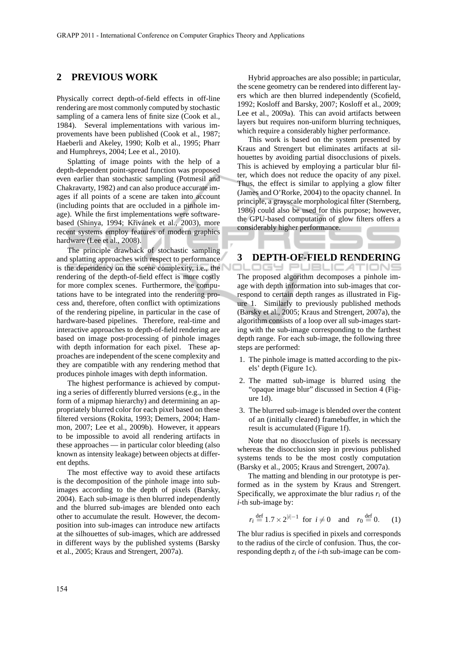## **2 PREVIOUS WORK**

Physically correct depth-of-field effects in off-line rendering are most commonly computed by stochastic sampling of a camera lens of finite size (Cook et al., 1984). Several implementations with various improvements have been published (Cook et al., 1987; Haeberli and Akeley, 1990; Kolb et al., 1995; Pharr and Humphreys, 2004; Lee et al., 2010).

Splatting of image points with the help of a depth-dependent point-spread function was proposed even earlier than stochastic sampling (Potmesil and Chakravarty, 1982) and can also produce accurate images if all points of a scene are taken into account (including points that are occluded in a pinhole image). While the first implementations were softwarebased (Shinya, 1994; Křivánek et al., 2003), more recent systems employ features of modern graphics hardware (Lee et al., 2008).

The principle drawback of stochastic sampling and splatting approaches with respect to performance is the dependency on the scene complexity, i.e., the rendering of the depth-of-field effect is more costly for more complex scenes. Furthermore, the computations have to be integrated into the rendering process and, therefore, often conflict with optimizations of the rendering pipeline, in particular in the case of hardware-based pipelines. Therefore, real-time and interactive approaches to depth-of-field rendering are based on image post-processing of pinhole images with depth information for each pixel. These approaches are independent of the scene complexity and they are compatible with any rendering method that produces pinhole images with depth information.

The highest performance is achieved by computing a series of differently blurred versions (e.g., in the form of a mipmap hierarchy) and determining an appropriately blurred color for each pixel based on these filtered versions (Rokita, 1993; Demers, 2004; Hammon, 2007; Lee et al., 2009b). However, it appears to be impossible to avoid all rendering artifacts in these approaches — in particular color bleeding (also known as intensity leakage) between objects at different depths.

The most effective way to avoid these artifacts is the decomposition of the pinhole image into subimages according to the depth of pixels (Barsky, 2004). Each sub-image is then blurred independently and the blurred sub-images are blended onto each other to accumulate the result. However, the decomposition into sub-images can introduce new artifacts at the silhouettes of sub-images, which are addressed in different ways by the published systems (Barsky et al., 2005; Kraus and Strengert, 2007a).

Hybrid approaches are also possible; in particular, the scene geometry can be rendered into different layers which are then blurred independently (Scofield, 1992; Kosloff and Barsky, 2007; Kosloff et al., 2009; Lee et al., 2009a). This can avoid artifacts between layers but requires non-uniform blurring techniques, which require a considerably higher performance.

This work is based on the system presented by Kraus and Strengert but eliminates artifacts at silhouettes by avoiding partial disocclusions of pixels. This is achieved by employing a particular blur filter, which does not reduce the opacity of any pixel. Thus, the effect is similar to applying a glow filter (James and O'Rorke, 2004) to the opacity channel. In principle, a grayscale morphological filter (Sternberg, 1986) could also be used for this purpose; however, the GPU-based computation of glow filters offers a considerably higher performance.

# **3 DEPTH-OF-FIELD RENDERING**

The proposed algorithm decomposes a pinhole image with depth information into sub-images that correspond to certain depth ranges as illustrated in Figure 1. Similarly to previously published methods (Barsky et al., 2005; Kraus and Strengert, 2007a), the algorithm consists of a loop over all sub-images starting with the sub-image corresponding to the farthest depth range. For each sub-image, the following three steps are performed:

- 1. The pinhole image is matted according to the pixels' depth (Figure 1c).
- 2. The matted sub-image is blurred using the "opaque image blur" discussed in Section 4 (Figure 1d).
- 3. The blurred sub-image is blended over the content of an (initially cleared) framebuffer, in which the result is accumulated (Figure 1f).

Note that no disocclusion of pixels is necessary whereas the disocclusion step in previous published systems tends to be the most costly computation (Barsky et al., 2005; Kraus and Strengert, 2007a).

The matting and blending in our prototype is performed as in the system by Kraus and Strengert. Specifically, we approximate the blur radius  $r_i$  of the *i*-th sub-image by:

$$
r_i \stackrel{\text{def}}{=} 1.7 \times 2^{|i|-1}
$$
 for  $i \neq 0$  and  $r_0 \stackrel{\text{def}}{=} 0$ . (1)

The blur radius is specified in pixels and corresponds to the radius of the circle of confusion. Thus, the corresponding depth *z<sup>i</sup>* of the *i*-th sub-image can be com-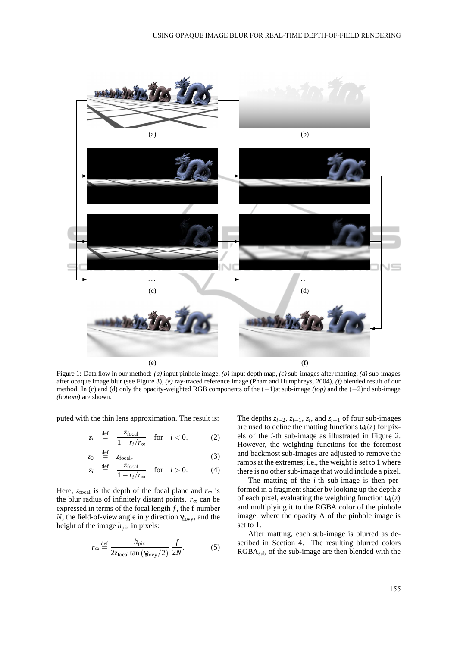

Figure 1: Data flow in our method: *(a)* input pinhole image, *(b)* input depth map, *(c)* sub-images after matting, *(d)* sub-images after opaque image blur (see Figure 3), *(e)* ray-traced reference image (Pharr and Humphreys, 2004), *(f)* blended result of our method. In (c) and (d) only the opacity-weighted RGB components of the (−1)st sub-image *(top)* and the (−2)nd sub-image *(bottom)* are shown.

puted with the thin lens approximation. The result is:

$$
z_i \stackrel{\text{def}}{=} \frac{z_{\text{focal}}}{1 + r_i/r_{\infty}} \quad \text{for} \quad i < 0,
$$
 (2)

$$
z_0 \stackrel{\text{def}}{=} z_{\text{focal}}, \tag{3}
$$

$$
z_i \stackrel{\text{def}}{=} \frac{z_{\text{focal}}}{1 - r_i/r_{\infty}} \quad \text{for} \quad i > 0. \tag{4}
$$

Here,  $z_{\text{focal}}$  is the depth of the focal plane and  $r_{\infty}$  is the blur radius of infinitely distant points.  $r_{\infty}$  can be expressed in terms of the focal length  $f$ , the f-number *N*, the field-of-view angle in *y* direction γ<sub>fovy</sub>, and the height of the image  $h_{pix}$  in pixels:

$$
r_{\infty} \stackrel{\text{def}}{=} \frac{h_{\text{pix}}}{2z_{\text{focal}} \tan(\gamma_{\text{fovy}}/2)} \frac{f}{2N}.
$$
 (5)

The depths  $z_{i-2}$ ,  $z_{i-1}$ ,  $z_i$ , and  $z_{i+1}$  of four sub-images are used to define the matting functions  $\omega_i(z)$  for pixels of the *i*-th sub-image as illustrated in Figure 2. However, the weighting functions for the foremost and backmost sub-images are adjusted to remove the ramps at the extremes; i.e., the weight is set to 1 where there is no other sub-image that would include a pixel.

The matting of the *i*-th sub-image is then performed in a fragment shader by looking up the depth *z* of each pixel, evaluating the weighting function  $\omega_i(z)$ and multiplying it to the RGBA color of the pinhole image, where the opacity A of the pinhole image is set to 1.

After matting, each sub-image is blurred as described in Section 4. The resulting blurred colors  $RGBA<sub>sub</sub>$  of the sub-image are then blended with the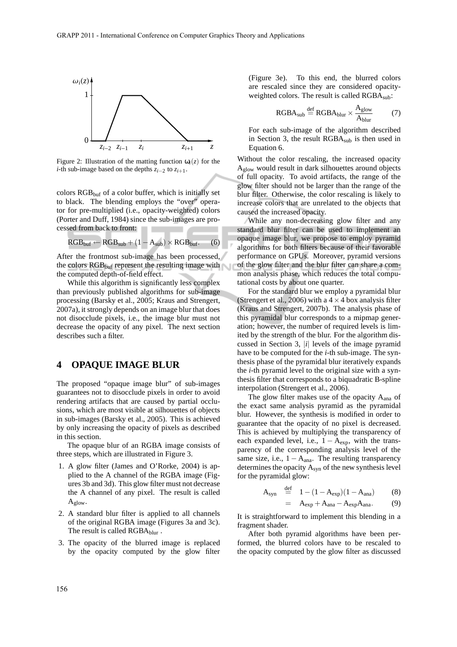

Figure 2: Illustration of the matting function  $\omega_i(z)$  for the *i*-th sub-image based on the depths *zi*−<sup>2</sup> to *zi*+1.

colors  $RGB<sub>buf</sub>$  of a color buffer, which is initially set to black. The blending employs the "over" operator for pre-multiplied (i.e., opacity-weighted) colors (Porter and Duff, 1984) since the sub-images are processed from back to front:

$$
RGB_{buf} \leftarrow RGB_{sub} + (1 - A_{sub}) \times RGB_{buf}. \qquad (6)
$$

After the frontmost sub-image has been processed, the colors  $RGB<sub>buf</sub>$  represent the resulting image with the computed depth-of-field effect.

While this algorithm is significantly less complex than previously published algorithms for sub-image processing (Barsky et al., 2005; Kraus and Strengert, 2007a), it strongly depends on an image blur that does not disocclude pixels, i.e., the image blur must not decrease the opacity of any pixel. The next section describes such a filter.

#### **4 OPAQUE IMAGE BLUR**

The proposed "opaque image blur" of sub-images guarantees not to disocclude pixels in order to avoid rendering artifacts that are caused by partial occlusions, which are most visible at silhouettes of objects in sub-images (Barsky et al., 2005). This is achieved by only increasing the opacity of pixels as described in this section.

The opaque blur of an RGBA image consists of three steps, which are illustrated in Figure 3.

- 1. A glow filter (James and O'Rorke, 2004) is applied to the A channel of the RGBA image (Figures 3b and 3d). This glow filter must not decrease the A channel of any pixel. The result is called  $A_{glow}.$
- 2. A standard blur filter is applied to all channels of the original RGBA image (Figures 3a and 3c). The result is called RGBAblur.
- 3. The opacity of the blurred image is replaced by the opacity computed by the glow filter

(Figure 3e). To this end, the blurred colors are rescaled since they are considered opacityweighted colors. The result is called RGBA<sub>sub</sub>:

$$
RGBAsub \stackrel{\text{def}}{=} RGBAblur \times \frac{Aglow}{Ablur} \tag{7}
$$

For each sub-image of the algorithm described in Section 3, the result RGBA<sub>sub</sub> is then used in Equation 6.

Without the color rescaling, the increased opacity Aglow would result in dark silhouettes around objects of full opacity. To avoid artifacts, the range of the glow filter should not be larger than the range of the blur filter. Otherwise, the color rescaling is likely to increase colors that are unrelated to the objects that caused the increased opacity.

While any non-decreasing glow filter and any standard blur filter can be used to implement an opaque image blur, we propose to employ pyramid algorithms for both filters because of their favorable performance on GPUs. Moreover, pyramid versions of the glow filter and the blur filter can share a common analysis phase, which reduces the total computational costs by about one quarter.

For the standard blur we employ a pyramidal blur (Strengert et al., 2006) with a  $4 \times 4$  box analysis filter (Kraus and Strengert, 2007b). The analysis phase of this pyramidal blur corresponds to a mipmap generation; however, the number of required levels is limited by the strength of the blur. For the algorithm discussed in Section 3, |*i*| levels of the image pyramid have to be computed for the *i*-th sub-image. The synthesis phase of the pyramidal blur iteratively expands the *i*-th pyramid level to the original size with a synthesis filter that corresponds to a biquadratic B-spline interpolation (Strengert et al., 2006).

The glow filter makes use of the opacity A<sub>ana</sub> of the exact same analysis pyramid as the pyramidal blur. However, the synthesis is modified in order to guarantee that the opacity of no pixel is decreased. This is achieved by multiplying the transparency of each expanded level, i.e.,  $1 - A_{exp}$ , with the transparency of the corresponding analysis level of the same size, i.e.,  $1 - A_{ana}$ . The resulting transparency determines the opacity  $A_{syn}$  of the new synthesis level for the pyramidal glow:

$$
A_{syn} \stackrel{\text{def}}{=} 1 - (1 - A_{exp})(1 - A_{ana}) \tag{8}
$$

$$
= A_{exp} + A_{ana} - A_{exp}A_{ana}.
$$
 (9)

It is straightforward to implement this blending in a fragment shader.

After both pyramid algorithms have been performed, the blurred colors have to be rescaled to the opacity computed by the glow filter as discussed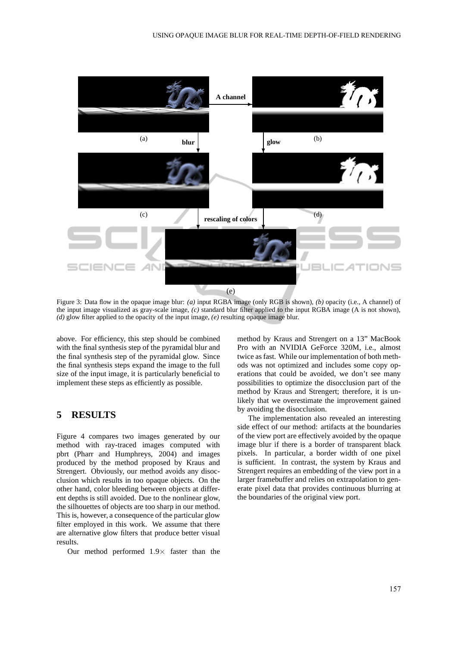

Figure 3: Data flow in the opaque image blur: *(a)* input RGBA image (only RGB is shown), *(b)* opacity (i.e., A channel) of the input image visualized as gray-scale image, *(c)* standard blur filter applied to the input RGBA image (A is not shown), *(d)* glow filter applied to the opacity of the input image, *(e)* resulting opaque image blur.

above. For efficiency, this step should be combined with the final synthesis step of the pyramidal blur and the final synthesis step of the pyramidal glow. Since the final synthesis steps expand the image to the full size of the input image, it is particularly beneficial to implement these steps as efficiently as possible.

### **5 RESULTS**

Figure 4 compares two images generated by our method with ray-traced images computed with pbrt (Pharr and Humphreys, 2004) and images produced by the method proposed by Kraus and Strengert. Obviously, our method avoids any disocclusion which results in too opaque objects. On the other hand, color bleeding between objects at different depths is still avoided. Due to the nonlinear glow, the silhouettes of objects are too sharp in our method. This is, however, a consequence of the particular glow filter employed in this work. We assume that there are alternative glow filters that produce better visual results.

Our method performed  $1.9\times$  faster than the

method by Kraus and Strengert on a 13" MacBook Pro with an NVIDIA GeForce 320M, i.e., almost twice as fast. While our implementation of both methods was not optimized and includes some copy operations that could be avoided, we don't see many possibilities to optimize the disocclusion part of the method by Kraus and Strengert; therefore, it is unlikely that we overestimate the improvement gained by avoiding the disocclusion.

The implementation also revealed an interesting side effect of our method: artifacts at the boundaries of the view port are effectively avoided by the opaque image blur if there is a border of transparent black pixels. In particular, a border width of one pixel is sufficient. In contrast, the system by Kraus and Strengert requires an embedding of the view port in a larger framebuffer and relies on extrapolation to generate pixel data that provides continuous blurring at the boundaries of the original view port.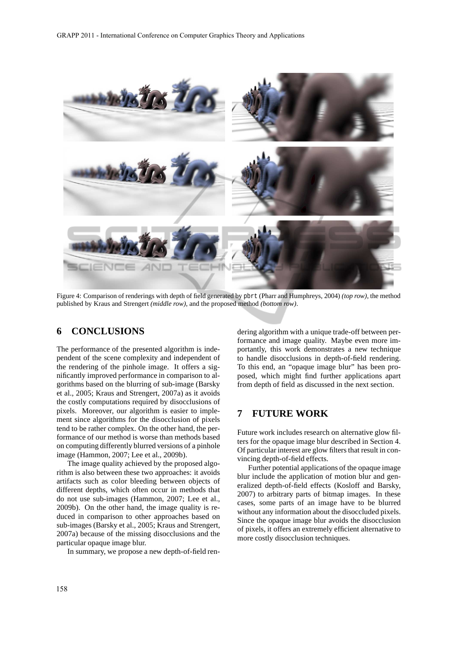

Figure 4: Comparison of renderings with depth of field generated by pbrt (Pharr and Humphreys, 2004) *(top row)*, the method published by Kraus and Strengert *(middle row)*, and the proposed method *(bottom row)*.

## **6 CONCLUSIONS**

The performance of the presented algorithm is independent of the scene complexity and independent of the rendering of the pinhole image. It offers a significantly improved performance in comparison to algorithms based on the blurring of sub-image (Barsky et al., 2005; Kraus and Strengert, 2007a) as it avoids the costly computations required by disocclusions of pixels. Moreover, our algorithm is easier to implement since algorithms for the disocclusion of pixels tend to be rather complex. On the other hand, the performance of our method is worse than methods based on computing differently blurred versions of a pinhole image (Hammon, 2007; Lee et al., 2009b).

The image quality achieved by the proposed algorithm is also between these two approaches: it avoids artifacts such as color bleeding between objects of different depths, which often occur in methods that do not use sub-images (Hammon, 2007; Lee et al., 2009b). On the other hand, the image quality is reduced in comparison to other approaches based on sub-images (Barsky et al., 2005; Kraus and Strengert, 2007a) because of the missing disocclusions and the particular opaque image blur.

In summary, we propose a new depth-of-field ren-

dering algorithm with a unique trade-off between performance and image quality. Maybe even more importantly, this work demonstrates a new technique to handle disocclusions in depth-of-field rendering. To this end, an "opaque image blur" has been proposed, which might find further applications apart from depth of field as discussed in the next section.

## **7 FUTURE WORK**

Future work includes research on alternative glow filters for the opaque image blur described in Section 4. Of particular interest are glow filters that result in convincing depth-of-field effects.

Further potential applications of the opaque image blur include the application of motion blur and generalized depth-of-field effects (Kosloff and Barsky, 2007) to arbitrary parts of bitmap images. In these cases, some parts of an image have to be blurred without any information about the disoccluded pixels. Since the opaque image blur avoids the disocclusion of pixels, it offers an extremely efficient alternative to more costly disocclusion techniques.